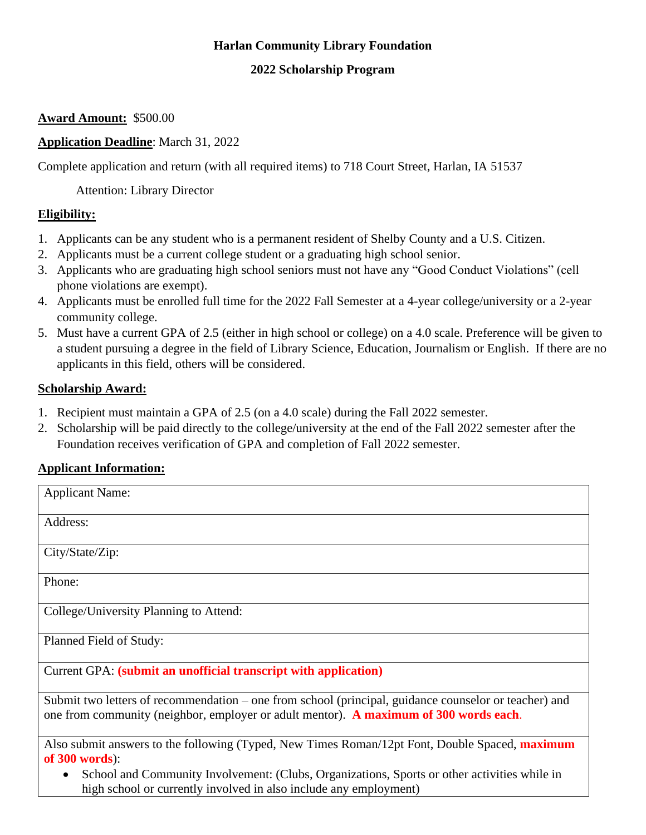# **Harlan Community Library Foundation**

## **2022 Scholarship Program**

### **Award Amount:** \$500.00

## **Application Deadline**: March 31, 2022

Complete application and return (with all required items) to 718 Court Street, Harlan, IA 51537

Attention: Library Director

#### **Eligibility:**

- 1. Applicants can be any student who is a permanent resident of Shelby County and a U.S. Citizen.
- 2. Applicants must be a current college student or a graduating high school senior.
- 3. Applicants who are graduating high school seniors must not have any "Good Conduct Violations" (cell phone violations are exempt).
- 4. Applicants must be enrolled full time for the 2022 Fall Semester at a 4-year college/university or a 2-year community college.
- 5. Must have a current GPA of 2.5 (either in high school or college) on a 4.0 scale. Preference will be given to a student pursuing a degree in the field of Library Science, Education, Journalism or English. If there are no applicants in this field, others will be considered.

#### **Scholarship Award:**

- 1. Recipient must maintain a GPA of 2.5 (on a 4.0 scale) during the Fall 2022 semester.
- 2. Scholarship will be paid directly to the college/university at the end of the Fall 2022 semester after the Foundation receives verification of GPA and completion of Fall 2022 semester.

## **Applicant Information:**

| <b>Applicant Name:</b>                                                                                                                                                                         |
|------------------------------------------------------------------------------------------------------------------------------------------------------------------------------------------------|
| Address:                                                                                                                                                                                       |
| City/State/Zip:                                                                                                                                                                                |
| Phone:                                                                                                                                                                                         |
| College/University Planning to Attend:                                                                                                                                                         |
| Planned Field of Study:                                                                                                                                                                        |
| Current GPA: (submit an unofficial transcript with application)                                                                                                                                |
| Submit two letters of recommendation – one from school (principal, guidance counselor or teacher) and<br>one from community (neighbor, employer or adult mentor). A maximum of 300 words each. |

Also submit answers to the following (Typed, New Times Roman/12pt Font, Double Spaced, **maximum of 300 words**):

• School and Community Involvement: (Clubs, Organizations, Sports or other activities while in high school or currently involved in also include any employment)